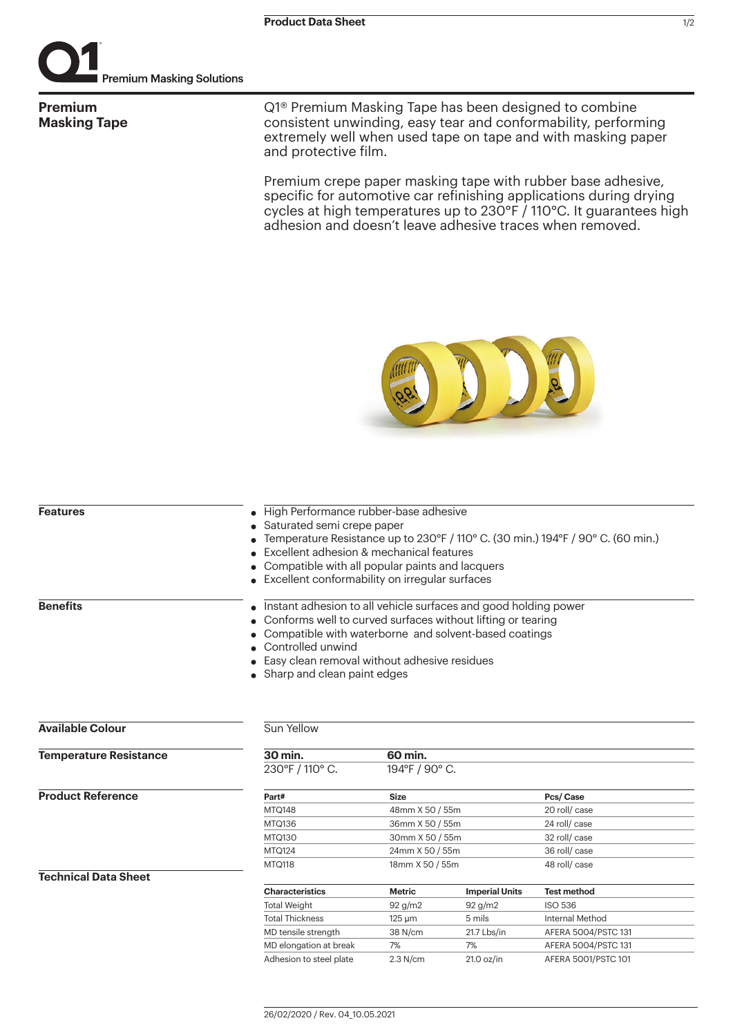

**Premium Masking Tape** Q1® Premium Masking Tape has been designed to combine consistent unwinding, easy tear and conformability, performing extremely well when used tape on tape and with masking paper and protective film.

Premium crepe paper masking tape with rubber base adhesive, specific for automotive car refinishing applications during drying cycles at high temperatures up to 230°F / 110°C. It guarantees high adhesion and doesn't leave adhesive traces when removed.



| <b>Features</b>               | High Performance rubber-base adhesive<br>Saturated semi crepe paper<br>Temperature Resistance up to 230°F / 110° C. (30 min.) 194°F / 90° C. (60 min.)<br>Excellent adhesion & mechanical features<br>Compatible with all popular paints and lacquers<br>Excellent conformability on irregular surfaces |                                              |                       |                     |  |                                                                                                                                                                                         |  |  |  |  |  |
|-------------------------------|---------------------------------------------------------------------------------------------------------------------------------------------------------------------------------------------------------------------------------------------------------------------------------------------------------|----------------------------------------------|-----------------------|---------------------|--|-----------------------------------------------------------------------------------------------------------------------------------------------------------------------------------------|--|--|--|--|--|
|                               |                                                                                                                                                                                                                                                                                                         |                                              |                       |                     |  |                                                                                                                                                                                         |  |  |  |  |  |
|                               |                                                                                                                                                                                                                                                                                                         |                                              |                       |                     |  |                                                                                                                                                                                         |  |  |  |  |  |
|                               |                                                                                                                                                                                                                                                                                                         |                                              |                       |                     |  |                                                                                                                                                                                         |  |  |  |  |  |
|                               |                                                                                                                                                                                                                                                                                                         |                                              |                       |                     |  |                                                                                                                                                                                         |  |  |  |  |  |
| <b>Benefits</b>               |                                                                                                                                                                                                                                                                                                         |                                              |                       |                     |  | Instant adhesion to all vehicle surfaces and good holding power<br>Conforms well to curved surfaces without lifting or tearing<br>Compatible with waterborne and solvent-based coatings |  |  |  |  |  |
|                               |                                                                                                                                                                                                                                                                                                         | Controlled unwind                            |                       |                     |  |                                                                                                                                                                                         |  |  |  |  |  |
|                               |                                                                                                                                                                                                                                                                                                         | Easy clean removal without adhesive residues |                       |                     |  |                                                                                                                                                                                         |  |  |  |  |  |
| Sharp and clean paint edges   |                                                                                                                                                                                                                                                                                                         |                                              |                       |                     |  |                                                                                                                                                                                         |  |  |  |  |  |
|                               |                                                                                                                                                                                                                                                                                                         |                                              |                       |                     |  |                                                                                                                                                                                         |  |  |  |  |  |
|                               |                                                                                                                                                                                                                                                                                                         |                                              |                       |                     |  |                                                                                                                                                                                         |  |  |  |  |  |
| <b>Available Colour</b>       | Sun Yellow                                                                                                                                                                                                                                                                                              |                                              |                       |                     |  |                                                                                                                                                                                         |  |  |  |  |  |
| <b>Temperature Resistance</b> | 30 min.                                                                                                                                                                                                                                                                                                 | 60 min.                                      |                       |                     |  |                                                                                                                                                                                         |  |  |  |  |  |
|                               | 230°F / 110° C.                                                                                                                                                                                                                                                                                         | 194°F / 90° C.                               |                       |                     |  |                                                                                                                                                                                         |  |  |  |  |  |
| <b>Product Reference</b>      | Part#                                                                                                                                                                                                                                                                                                   | <b>Size</b>                                  | Pcs/Case              |                     |  |                                                                                                                                                                                         |  |  |  |  |  |
|                               | MTQ148                                                                                                                                                                                                                                                                                                  | 48mm X 50 / 55m                              |                       | 20 roll/ case       |  |                                                                                                                                                                                         |  |  |  |  |  |
|                               | MTQ136                                                                                                                                                                                                                                                                                                  | 36mm X 50 / 55m                              |                       | 24 roll/ case       |  |                                                                                                                                                                                         |  |  |  |  |  |
|                               | MTQ130                                                                                                                                                                                                                                                                                                  | 30mm X 50 / 55m                              |                       | 32 roll/ case       |  |                                                                                                                                                                                         |  |  |  |  |  |
|                               | <b>MTQ124</b>                                                                                                                                                                                                                                                                                           | 24mm X 50 / 55m                              |                       | 36 roll/ case       |  |                                                                                                                                                                                         |  |  |  |  |  |
|                               | MTQ118                                                                                                                                                                                                                                                                                                  | 18mm X 50 / 55m                              |                       | 48 roll/case        |  |                                                                                                                                                                                         |  |  |  |  |  |
| <b>Technical Data Sheet</b>   |                                                                                                                                                                                                                                                                                                         |                                              |                       |                     |  |                                                                                                                                                                                         |  |  |  |  |  |
|                               | <b>Characteristics</b>                                                                                                                                                                                                                                                                                  | <b>Metric</b>                                | <b>Imperial Units</b> | <b>Test method</b>  |  |                                                                                                                                                                                         |  |  |  |  |  |
|                               | <b>Total Weight</b>                                                                                                                                                                                                                                                                                     | 92 g/m2                                      | $92$ g/m2             | <b>ISO 536</b>      |  |                                                                                                                                                                                         |  |  |  |  |  |
|                               | <b>Total Thickness</b>                                                                                                                                                                                                                                                                                  | $125 \mu m$                                  | 5 mils                | Internal Method     |  |                                                                                                                                                                                         |  |  |  |  |  |
|                               | MD tensile strength                                                                                                                                                                                                                                                                                     | 38 N/cm                                      | 21.7 Lbs/in           | AFERA 5004/PSTC 131 |  |                                                                                                                                                                                         |  |  |  |  |  |
|                               | MD elongation at break                                                                                                                                                                                                                                                                                  | 7%                                           | 7%                    | AFERA 5004/PSTC 131 |  |                                                                                                                                                                                         |  |  |  |  |  |
|                               | Adhesion to steel plate                                                                                                                                                                                                                                                                                 | 2.3 N/cm                                     | $21.0$ oz/in          | AFERA 5001/PSTC 101 |  |                                                                                                                                                                                         |  |  |  |  |  |
|                               |                                                                                                                                                                                                                                                                                                         |                                              |                       |                     |  |                                                                                                                                                                                         |  |  |  |  |  |